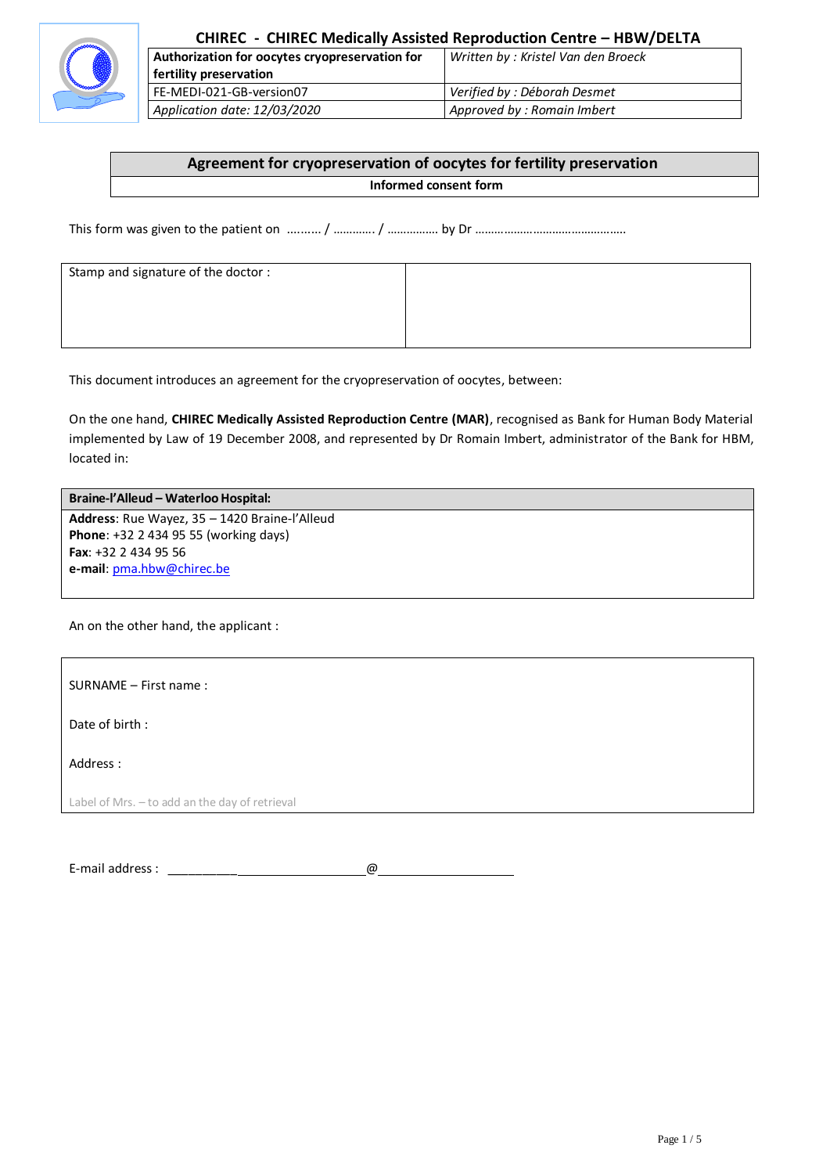

| Authorization for oocytes cryopreservation for | Written by: Kristel Van den Broeck |
|------------------------------------------------|------------------------------------|
| fertility preservation                         |                                    |
| l FE-MEDI-021-GB-version07                     | Verified by : Déborah Desmet       |
| Application date: 12/03/2020                   | Approved by: Romain Imbert         |

# **Agreement for cryopreservation of oocytes for fertility preservation**

#### **Informed consent form**

This form was given to the patient on .......... / …………. / ……………. by Dr ………………………………………..

| Stamp and signature of the doctor : |  |
|-------------------------------------|--|
|                                     |  |
|                                     |  |
|                                     |  |

This document introduces an agreement for the cryopreservation of oocytes, between:

On the one hand, **CHIREC Medically Assisted Reproduction Centre (MAR)**, recognised as Bank for Human Body Material implemented by Law of 19 December 2008, and represented by Dr Romain Imbert, administrator of the Bank for HBM, located in:

#### **Braine-l'Alleud – Waterloo Hospital:**

**Address**: Rue Wayez, 35 – 1420 Braine-l'Alleud **Phone**: +32 2 434 95 55 (working days) **Fax**: +32 2 434 95 56 **e-mail**[: pma.hbw@chirec.be](mailto:pma.hbw@chirec.be)

An on the other hand, the applicant :

SURNAME – First name :

Date of birth :

Address :

Label of Mrs. – to add an the day of retrieval

E-mail address : \_\_\_\_\_\_\_\_\_\_ @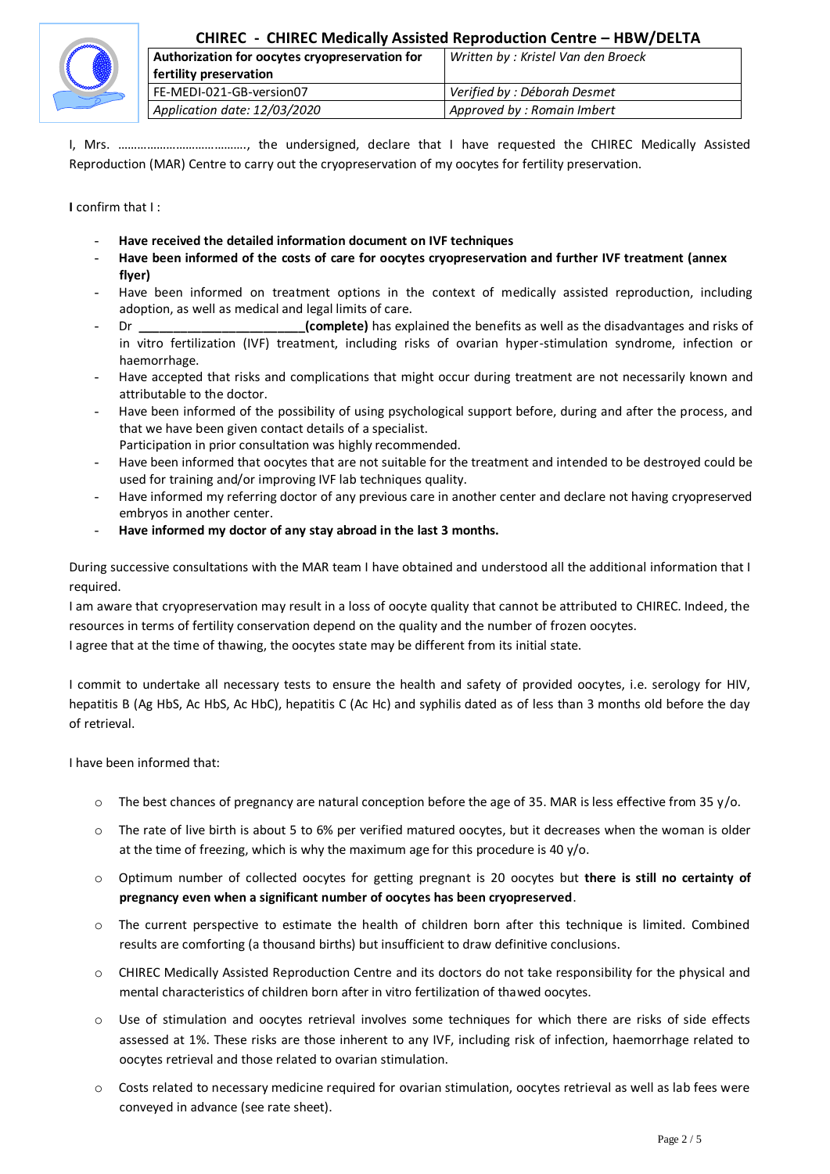

## **CHIREC - CHIREC Medically Assisted Reproduction Centre – HBW/DELTA**

| Authorization for oocytes cryopreservation for | Written by: Kristel Van den Broeck |
|------------------------------------------------|------------------------------------|
| fertility preservation                         |                                    |
| FE-MEDI-021-GB-version07                       | Verified by : Déborah Desmet       |
| Application date: 12/03/2020                   | Approved by : Romain Imbert        |

I, Mrs. …………………………………., the undersigned, declare that I have requested the CHIREC Medically Assisted Reproduction (MAR) Centre to carry out the cryopreservation of my oocytes for fertility preservation.

**I** confirm that I :

- **Have received the detailed information document on IVF techniques**
- **Have been informed of the costs of care for oocytes cryopreservation and further IVF treatment (annex flyer)**
- Have been informed on treatment options in the context of medically assisted reproduction, including adoption, as well as medical and legal limits of care.
- Dr **complete)** has explained the benefits as well as the disadvantages and risks of in vitro fertilization (IVF) treatment, including risks of ovarian hyper-stimulation syndrome, infection or haemorrhage.
- Have accepted that risks and complications that might occur during treatment are not necessarily known and attributable to the doctor.
- Have been informed of the possibility of using psychological support before, during and after the process, and that we have been given contact details of a specialist.
	- Participation in prior consultation was highly recommended.
- Have been informed that oocytes that are not suitable for the treatment and intended to be destroyed could be used for training and/or improving IVF lab techniques quality.
- Have informed my referring doctor of any previous care in another center and declare not having cryopreserved embryos in another center.
- **Have informed my doctor of any stay abroad in the last 3 months.**

During successive consultations with the MAR team I have obtained and understood all the additional information that I required.

I am aware that cryopreservation may result in a loss of oocyte quality that cannot be attributed to CHIREC. Indeed, the resources in terms of fertility conservation depend on the quality and the number of frozen oocytes.

I agree that at the time of thawing, the oocytes state may be different from its initial state.

I commit to undertake all necessary tests to ensure the health and safety of provided oocytes, i.e. serology for HIV, hepatitis B (Ag HbS, Ac HbS, Ac HbC), hepatitis C (Ac Hc) and syphilis dated as of less than 3 months old before the day of retrieval.

#### I have been informed that:

- $\circ$  The best chances of pregnancy are natural conception before the age of 35. MAR is less effective from 35 y/o.
- $\circ$  The rate of live birth is about 5 to 6% per verified matured oocytes, but it decreases when the woman is older at the time of freezing, which is why the maximum age for this procedure is 40  $y$ /o.
- o Optimum number of collected oocytes for getting pregnant is 20 oocytes but **there is still no certainty of pregnancy even when a significant number of oocytes has been cryopreserved**.
- o The current perspective to estimate the health of children born after this technique is limited. Combined results are comforting (a thousand births) but insufficient to draw definitive conclusions.
- o CHIREC Medically Assisted Reproduction Centre and its doctors do not take responsibility for the physical and mental characteristics of children born after in vitro fertilization of thawed oocytes.
- Use of stimulation and oocytes retrieval involves some techniques for which there are risks of side effects assessed at 1%. These risks are those inherent to any IVF, including risk of infection, haemorrhage related to oocytes retrieval and those related to ovarian stimulation.
- o Costs related to necessary medicine required for ovarian stimulation, oocytes retrieval as well as lab fees were conveyed in advance (see rate sheet).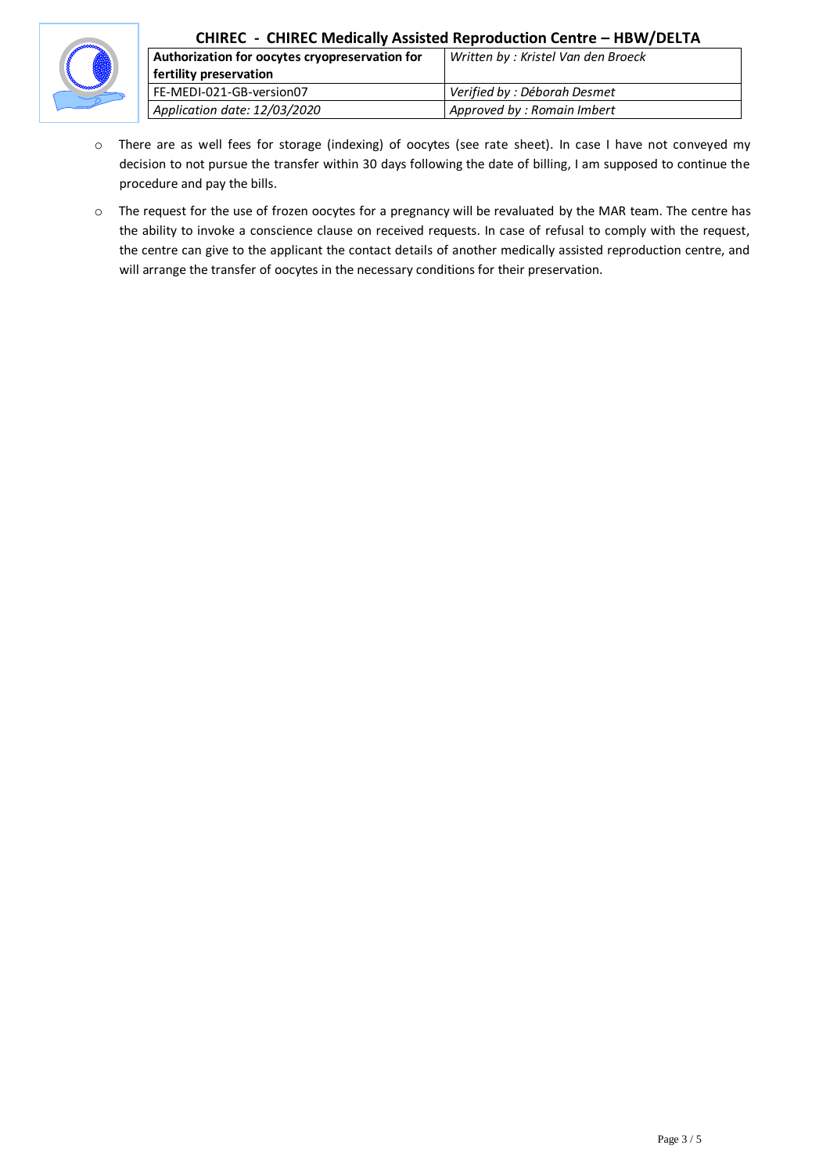

### **CHIREC - CHIREC Medically Assisted Reproduction Centre – HBW/DELTA**

| Authorization for oocytes cryopreservation for | Written by: Kristel Van den Broeck |
|------------------------------------------------|------------------------------------|
| fertility preservation                         |                                    |
| FE-MEDI-021-GB-version07                       | Verified by : Déborah Desmet       |
| Application date: 12/03/2020                   | Approved by: Romain Imbert         |

- o There are as well fees for storage (indexing) of oocytes (see rate sheet). In case I have not conveyed my decision to not pursue the transfer within 30 days following the date of billing, I am supposed to continue the procedure and pay the bills.
- o The request for the use of frozen oocytes for a pregnancy will be revaluated by the MAR team. The centre has the ability to invoke a conscience clause on received requests. In case of refusal to comply with the request, the centre can give to the applicant the contact details of another medically assisted reproduction centre, and will arrange the transfer of oocytes in the necessary conditions for their preservation.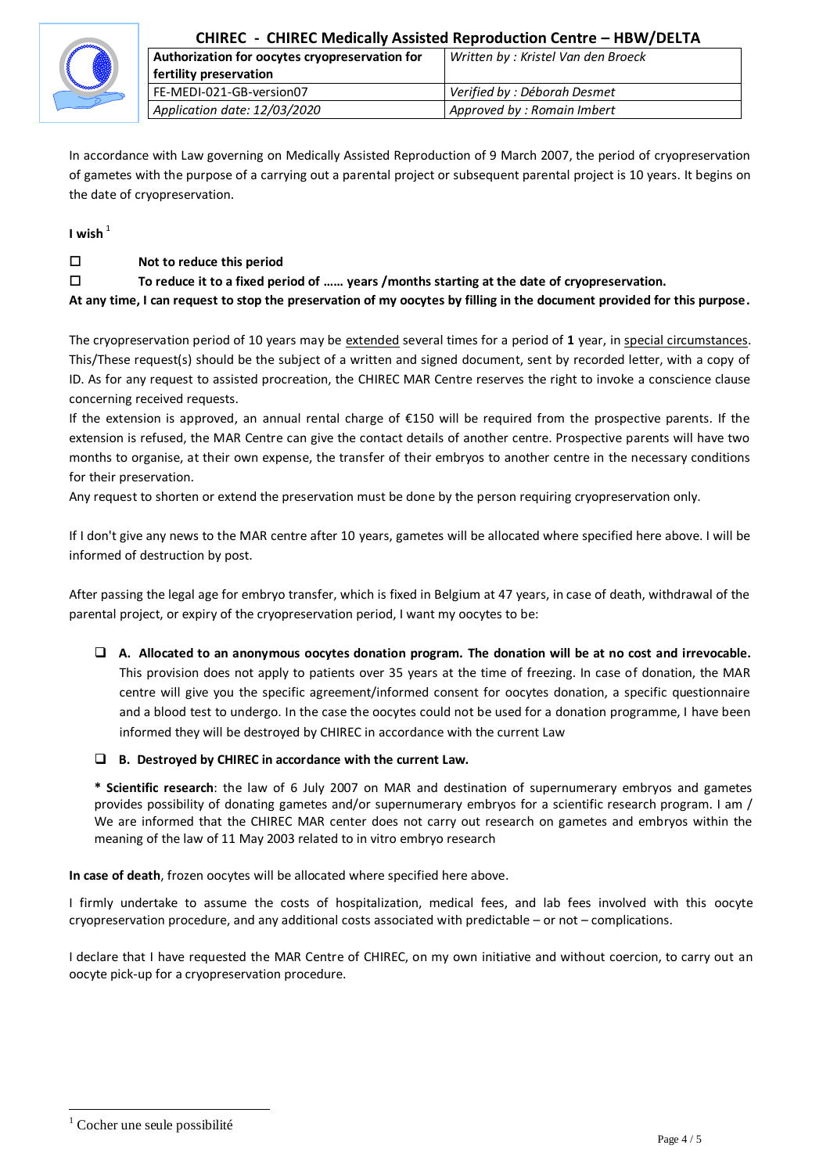

| Authorization for oocytes cryopreservation for | Written by: Kristel Van den Broeck |
|------------------------------------------------|------------------------------------|
| fertility preservation                         |                                    |
| FE-MEDI-021-GB-version07                       | Verified by : Déborah Desmet       |
| Application date: 12/03/2020                   | Approved by: Romain Imbert         |

In accordance with Law governing on Medically Assisted Reproduction of 9 March 2007, the period of cryopreservation of gametes with the purpose of a carrying out a parental project or subsequent parental project is 10 years. It begins on the date of cryopreservation.

**I wish** <sup>1</sup>

#### **Not to reduce this period**

#### **To reduce it to a fixed period of …… years /months starting at the date of cryopreservation.**

**At any time, I can request to stop the preservation of my oocytes by filling in the document provided for this purpose.**

The cryopreservation period of 10 years may be extended several times for a period of **1** year, in special circumstances. This/These request(s) should be the subject of a written and signed document, sent by recorded letter, with a copy of ID. As for any request to assisted procreation, the CHIREC MAR Centre reserves the right to invoke a conscience clause concerning received requests.

If the extension is approved, an annual rental charge of €150 will be required from the prospective parents. If the extension is refused, the MAR Centre can give the contact details of another centre. Prospective parents will have two months to organise, at their own expense, the transfer of their embryos to another centre in the necessary conditions for their preservation.

Any request to shorten or extend the preservation must be done by the person requiring cryopreservation only.

If I don't give any news to the MAR centre after 10 years, gametes will be allocated where specified here above. I will be informed of destruction by post.

After passing the legal age for embryo transfer, which is fixed in Belgium at 47 years, in case of death, withdrawal of the parental project, or expiry of the cryopreservation period, I want my oocytes to be:

 **A. Allocated to an anonymous oocytes donation program. The donation will be at no cost and irrevocable.** This provision does not apply to patients over 35 years at the time of freezing. In case of donation, the MAR centre will give you the specific agreement/informed consent for oocytes donation, a specific questionnaire and a blood test to undergo. In the case the oocytes could not be used for a donation programme, I have been informed they will be destroyed by CHIREC in accordance with the current Law

#### **B. Destroyed by CHIREC in accordance with the current Law.**

**\* Scientific research**: the law of 6 July 2007 on MAR and destination of supernumerary embryos and gametes provides possibility of donating gametes and/or supernumerary embryos for a scientific research program. I am / We are informed that the CHIREC MAR center does not carry out research on gametes and embryos within the meaning of the law of 11 May 2003 related to in vitro embryo research

**In case of death**, frozen oocytes will be allocated where specified here above.

I firmly undertake to assume the costs of hospitalization, medical fees, and lab fees involved with this oocyte cryopreservation procedure, and any additional costs associated with predictable – or not – complications.

I declare that I have requested the MAR Centre of CHIREC, on my own initiative and without coercion, to carry out an oocyte pick-up for a cryopreservation procedure.

 $\overline{a}$ 

Cocher une seule possibilité